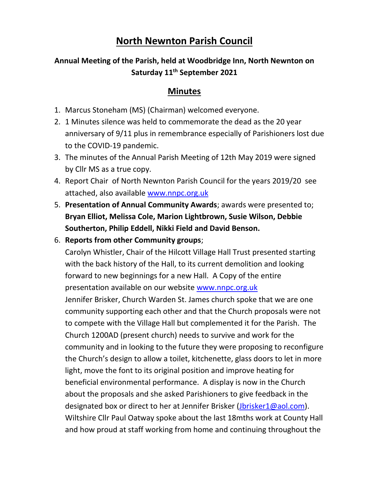## **North Newnton Parish Council**

## **Annual Meeting of the Parish, held at Woodbridge Inn, North Newnton on Saturday 11th September 2021**

## **Minutes**

- 1. Marcus Stoneham (MS) (Chairman) welcomed everyone.
- 2. 1 Minutes silence was held to commemorate the dead as the 20 year anniversary of 9/11 plus in remembrance especially of Parishioners lost due to the COVID-19 pandemic.
- 3. The minutes of the Annual Parish Meeting of 12th May 2019 were signed by Cllr MS as a true copy.
- 4. Report Chair of North Newnton Parish Council for the years 2019/20 see attached, also available [www.nnpc.org.uk](http://www.nnpc.org.uk/)
- 5. **Presentation of Annual Community Awards**; awards were presented to; **Bryan Elliot, Melissa Cole, Marion Lightbrown, Susie Wilson, Debbie Southerton, Philip Eddell, Nikki Field and David Benson.**
- 6. **Reports from other Community groups**;

Carolyn Whistler, Chair of the Hilcott Village Hall Trust presented starting with the back history of the Hall, to its current demolition and looking forward to new beginnings for a new Hall. A Copy of the entire presentation available on our website [www.nnpc.org.uk](http://www.nnpc.org.uk/) Jennifer Brisker, Church Warden St. James church spoke that we are one community supporting each other and that the Church proposals were not to compete with the Village Hall but complemented it for the Parish. The Church 1200AD (present church) needs to survive and work for the community and in looking to the future they were proposing to reconfigure the Church's design to allow a toilet, kitchenette, glass doors to let in more light, move the font to its original position and improve heating for beneficial environmental performance. A display is now in the Church about the proposals and she asked Parishioners to give feedback in the designated box or direct to her at Jennifer Brisker [\(Jbrisker1@aol.com\)](mailto:Jbrisker1@aol.com). Wiltshire Cllr Paul Oatway spoke about the last 18mths work at County Hall and how proud at staff working from home and continuing throughout the